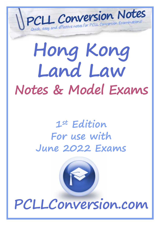

# **Hong Kong Land Law Notes & Model Exams**

# **1st Edition For use with June 2022 Exams**

**PCLLConversion.com**

Copyright PCLLConversion.com © 2022 *(Updated for June 2022 exams)* Page 1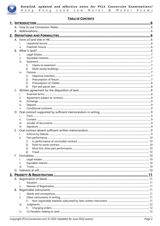

# **TABLE OF CONTENTS**

|                | ii.                                     |    |
|----------------|-----------------------------------------|----|
| $B_{\cdot}$    |                                         |    |
|                | İ.                                      |    |
|                | ii.                                     |    |
|                | iii.                                    |    |
|                | 1)                                      |    |
|                | 2)                                      |    |
|                | iv.                                     |    |
|                | 1)                                      |    |
|                | 2)                                      |    |
|                | 3)                                      |    |
|                | 4)                                      |    |
| $\mathsf{C}$ . |                                         |    |
|                | L.                                      |    |
|                | н.                                      |    |
|                | iii.                                    |    |
|                | iv.                                     |    |
|                | V.                                      |    |
|                |                                         |    |
|                | i.                                      |    |
|                | ii.                                     |    |
|                | iii.                                    |    |
|                | iv.                                     |    |
| Е.             |                                         |    |
|                | i.                                      |    |
|                | ii.                                     |    |
|                | 1) In performance of concluded contract | 10 |
|                | (2)                                     |    |
|                | 3)                                      |    |
|                | 4)                                      |    |
| E.             |                                         |    |
|                |                                         |    |
|                | н.                                      |    |
|                | III.                                    |    |
|                |                                         |    |
|                |                                         |    |
|                |                                         |    |
|                |                                         |    |
|                | н.                                      |    |
| В.             |                                         |    |
|                | ı.                                      |    |
|                | ii.                                     |    |
|                | 1)                                      |    |
|                | iii.                                    |    |
|                | 1)                                      |    |
|                | IV.                                     |    |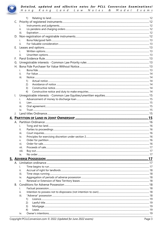

|              | 1)        |  |
|--------------|-----------|--|
|              |           |  |
|              | ı.        |  |
|              | ii.       |  |
|              | iii.      |  |
| D.           |           |  |
|              |           |  |
|              | ii.       |  |
| $E_{\rm{r}}$ |           |  |
|              | Ť.        |  |
|              | ii.       |  |
| F.           |           |  |
|              |           |  |
| H.           |           |  |
|              | i.        |  |
|              | ii.       |  |
|              | iii.      |  |
|              | 1)        |  |
|              | 2)        |  |
|              | 3)        |  |
|              | 4)        |  |
| I.           |           |  |
|              | i.        |  |
|              | ii.       |  |
|              | III.      |  |
|              | iv.       |  |
|              |           |  |
|              |           |  |
|              |           |  |
|              |           |  |
|              |           |  |
|              |           |  |
|              | ii.       |  |
|              | iii.      |  |
|              | IV.       |  |
|              | v.        |  |
|              | vi.       |  |
|              | VII.      |  |
|              | viii.     |  |
|              | ix.       |  |
|              |           |  |
|              |           |  |
|              |           |  |
|              | i.        |  |
|              | ii.       |  |
|              | iii.      |  |
|              | iv.       |  |
|              | V.        |  |
| B.           |           |  |
|              | ı.        |  |
|              | ii.       |  |
|              | iii.      |  |
|              | 1)        |  |
|              | 2)        |  |
|              | 3)        |  |
|              | 4)<br>iv. |  |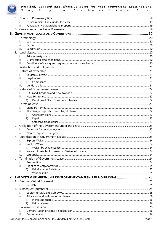

|    | ii.                                                                |  |
|----|--------------------------------------------------------------------|--|
|    |                                                                    |  |
|    |                                                                    |  |
|    |                                                                    |  |
|    | i.                                                                 |  |
|    | II.                                                                |  |
|    | iii.                                                               |  |
| В. |                                                                    |  |
|    | i.                                                                 |  |
|    | ii.                                                                |  |
|    | iii.                                                               |  |
| C. |                                                                    |  |
|    |                                                                    |  |
|    |                                                                    |  |
|    | İ.<br>ii.                                                          |  |
|    | 1)                                                                 |  |
|    | iii.                                                               |  |
|    |                                                                    |  |
|    | i.                                                                 |  |
|    | ii.                                                                |  |
|    | 1)                                                                 |  |
| F. |                                                                    |  |
|    | i.                                                                 |  |
|    | ii.                                                                |  |
|    | 1)                                                                 |  |
|    | 2)                                                                 |  |
|    | 3)                                                                 |  |
| G. |                                                                    |  |
|    | İ.                                                                 |  |
|    | ii.                                                                |  |
|    |                                                                    |  |
|    |                                                                    |  |
|    | н.                                                                 |  |
|    | 1)                                                                 |  |
|    | iii.                                                               |  |
|    | iv.                                                                |  |
|    |                                                                    |  |
|    | i.                                                                 |  |
|    | ii.                                                                |  |
|    | 1)                                                                 |  |
|    | 2)                                                                 |  |
|    | 7. THE SYSTEM OF MULTI-UNIT DEVELOPMENT OWNERSHIP IN HONG KONG  25 |  |
|    |                                                                    |  |
|    | Ť.                                                                 |  |
|    |                                                                    |  |
| В. |                                                                    |  |
|    | İ.<br>ii.                                                          |  |
|    |                                                                    |  |
|    | 1)                                                                 |  |
|    | (2)                                                                |  |
|    |                                                                    |  |
|    | İ.<br>ii.                                                          |  |
|    |                                                                    |  |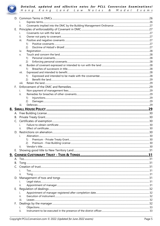

|    | ii.        |    |
|----|------------|----|
| E. |            |    |
|    | i.         |    |
|    | ii.        |    |
|    | iii.       |    |
|    | 1)         |    |
|    | 2)         |    |
|    | iv.        |    |
|    | V.         |    |
|    | 1)         |    |
|    | 2)         |    |
|    | VI.        |    |
|    | 1)         |    |
|    | vii.       |    |
|    | 1)         |    |
|    | (2)        |    |
|    | viii.      |    |
| E. |            |    |
|    | i.         |    |
|    | ii.        |    |
|    | 1)         |    |
|    | 2)         |    |
|    | iii.       |    |
|    |            |    |
|    |            |    |
| В. |            |    |
|    |            |    |
|    | i.         |    |
|    | ii.        |    |
|    |            |    |
|    | Alienation | 30 |
|    | 1)         |    |
|    | 2)         |    |
|    | ii.        |    |
| E. |            |    |
|    |            |    |
|    |            |    |
| В. |            |    |
|    |            |    |
|    |            |    |
|    | н.         |    |
|    |            |    |
|    |            |    |
|    | Ħ.         |    |
| Е. |            |    |
|    |            |    |
|    | Ħ.         |    |
|    | iii.       |    |
| F. |            |    |
|    | Ι.         |    |
|    | ii.        |    |
|    |            |    |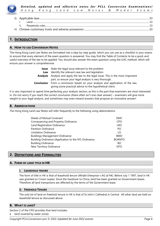

| l and. |  |
|--------|--|
|        |  |
|        |  |
|        |  |

# **1. INTRODUCTION**

### **A. HOW TO USE CONVERSION NOTES**

The Hong Kong Land Law Notes are formatted into a step-by-step guide, which you can use as a checklist in your exams to ensure that every element of the exam question is answered. You may find the Table of Contents to be a quick and useful overview of the law to be applied. You should also answer the exam question using the ILAC method, which will ensure your answer is comprehensive.

|            | <b>Issue</b> State the legal issue relevant to the problem                                                                       |
|------------|----------------------------------------------------------------------------------------------------------------------------------|
| Law        | Identify the relevant case law and legislation                                                                                   |
|            | <b>Analysis</b> Analyse and apply the law to the legal issue. This is the most important                                         |
|            | part, so ensure your legal analysis is very thorough.                                                                            |
| Conclusion | Form a conclusion based on your analysis and application of the law,<br>giving some practical advice to the hypothetical client. |

It is very important to spend time perfecting your analysis section, as this is the part that examiners are most interested in. Do not worry if you reach the correct conclusion (there often isn't one clear answer) – examiners will give more weight to your legal analysis, and sometimes may even reward answers that propose an innovative answer!

#### **B. ABBREVIATIONS**

The Hong Kong Land Law Notes will refer frequently to the following using abbreviations.

| Deeds of Mutual Covenant                             | <b>DMC</b>    |
|------------------------------------------------------|---------------|
| Conveyancing and Property Ordinance                  | <b>CPO</b>    |
| Land Registration Ordinance                          | <b>LRO</b>    |
| <b>Partition Ordinance</b>                           | PO            |
| Limitation Ordinance                                 | 10            |
| <b>Buildings Management Ordinance</b>                | <b>BMO</b>    |
| Building Ordinance (Application to the NT) Ordinance | <b>BOANTO</b> |
| <b>Building Ordinance</b>                            | BО            |
| New Territory Ordinance                              | <b>NTO</b>    |

# **2. DEFINITIONS AND FORMALITIES**

#### **A. FORM OF LAND TITLE IN HK**

#### **i. LEASEHOLD TENURE**

The form of title in HK is that of leasehold tenure (*Winfat Enterprise v AG of HK)*. Before July 1 1997, land in HK was granted on Crown Leases. Since the handover to China, land has been granted on Government leases. Therefore all land transactions are affected by the terms of the Government lease.

#### **ii. FREEHOLD TENURE**

The only lot of land on freehold tenure in HK is that of St John's Cathedral in Central. All other land are held on leasehold tenure as discussed above.

#### **B. WHAT IS LAND?**

Section 2 of the CPO provides that land includes:

land covered by water (s2(a))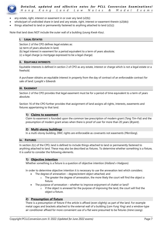

- any estate, right, interest or easement in or over any land (s2(b))
- whole/part of undivided share in land and any estate, right, interest or easement therein (s2(bb))
- things attached to land or permanently fastened to anything attached to land (s2(c))

Note that land does NOT include the outer wall of a building (*Leung Kwok-Kau)*.

#### **i. LEGAL ESTATES**

Section 2 of the CPO defines legal estates as:

- (a) term of years absolute in land;
- (b) legal interest in easement for a period equivalent to a term of years absolute;
- (c) a legal charge (a mortgage expressed to be a legal charge)

#### **ii. EQUITABLE INTERESTS**

Equitable interests is defined in section 2 of CPO as any estate, interest or charge which is not a legal estate or a freehold.

A purchaser obtains an equitable interest in property from the day of contract of an enforceable contract for sale of land: *Lysaght v Edwards*

#### **iii. EASEMENT**

Section 2 of the CPO provides that legal easement must be for a period of time equivalent to a term of years absolute.

Section 16 of the CPO further provides that assignment of land assigns all rights, interests, easements and fixtures appertaining to that land.

#### **1) Claims to easement**

Claim to easement is founded upon the common law prescription of modern grant (*Tang Tim-Fat)* and the presumption of modern grant arises when there is proof of user for more than 20 years (*Bryant)*.

#### **2) Multi-storey buildings**

In a multi-storey building, DMC rights are enforceable as covenants not easements (*Merrilong*).

#### **iv. FIXTURES**

In section 2(c) of the CPO, land is defined to include things attached to land or permanently fastened to anything attached to land. These may also be described as fixtures. To determine whether something is a fixture, it is useful to consider the following elements.

#### **1) Objective intention**

Whether something is a fixture is a question of objective intention (*Holland v Hodgson).*

In order to determine objective intention it is necessary to use the annexation test which considers:

- The degree of annexation degree/extent object attached; and
	- $\circ$  The greater the degree of annexation, the more likely the court will find the object a fixture.
- The purpose of annexation whether to improve enjoyment of chattel or land?
	- $\circ$  If the object is annexed for the purpose of improving the land, the court will find the object a fixture.

#### **2) Presumption of fixture**

There is a presumption of fixture if the article is affixed (even slightly) as part of the land. For example metal cages and brackets attached to the external wall of a building (*Lam Fung Ying)* and a window-type air conditioner affixed for more convenient use of a flat were presumed to be fixtures (*Irene Loong)*.